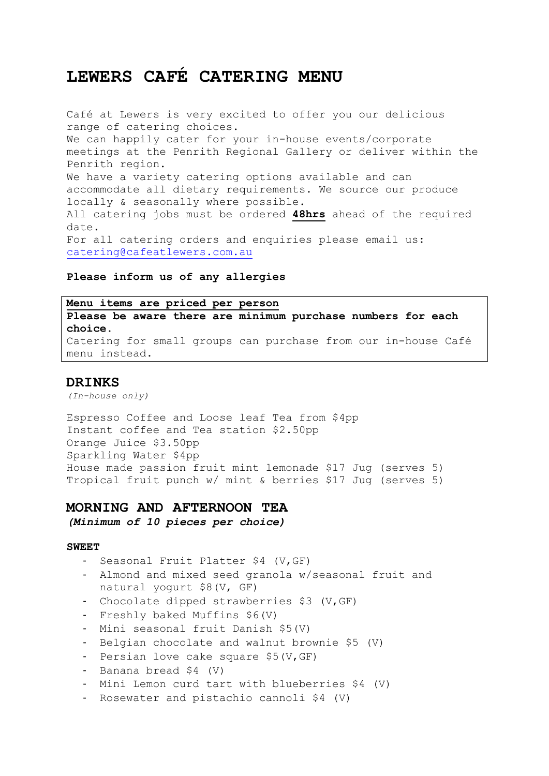# **LEWERS CAFÉ CATERING MENU**

Café at Lewers is very excited to offer you our delicious range of catering choices. We can happily cater for your in-house events/corporate meetings at the Penrith Regional Gallery or deliver within the Penrith region. We have a variety catering options available and can accommodate all dietary requirements. We source our produce locally & seasonally where possible. All catering jobs must be ordered **48hrs** ahead of the required date. For all catering orders and enquiries please email us: catering@cafeatlewers.com.au

# **Please inform us of any allergies**

**Menu items are priced per person Please be aware there are minimum purchase numbers for each choice.**  Catering for small groups can purchase from our in-house Café menu instead.

# **DRINKS**

*(In-house only)*

Espresso Coffee and Loose leaf Tea from \$4pp Instant coffee and Tea station \$2.50pp Orange Juice \$3.50pp Sparkling Water \$4pp House made passion fruit mint lemonade \$17 Jug (serves 5) Tropical fruit punch w/ mint & berries \$17 Jug (serves 5)

# **MORNING AND AFTERNOON TEA**

*(Minimum of 10 pieces per choice)*

#### **SWEET**

- Seasonal Fruit Platter \$4 (V,GF)
- Almond and mixed seed granola w/seasonal fruit and natural yogurt \$8(V, GF)
- Chocolate dipped strawberries \$3 (V,GF)
- Freshly baked Muffins \$6(V)
- Mini seasonal fruit Danish \$5(V)
- Belgian chocolate and walnut brownie \$5 (V)
- Persian love cake square \$5(V,GF)
- Banana bread \$4 (V)
- Mini Lemon curd tart with blueberries \$4 (V)
- Rosewater and pistachio cannoli \$4 (V)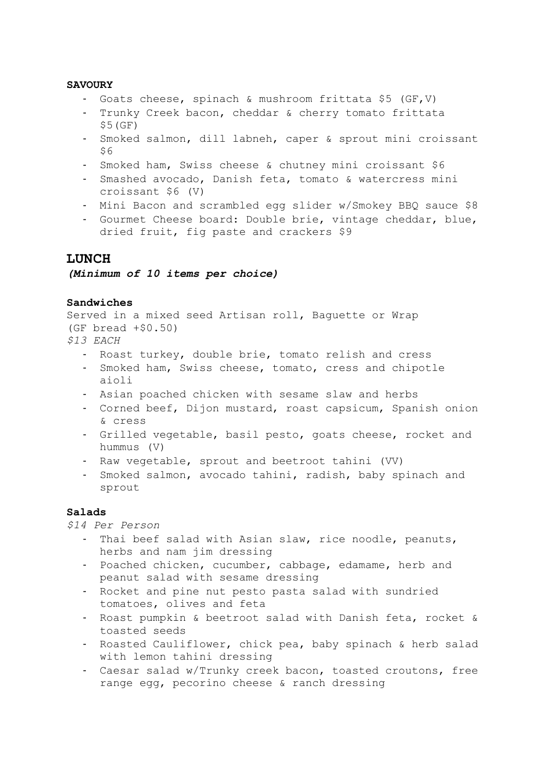## **SAVOURY**

- Goats cheese, spinach & mushroom frittata \$5 (GF,V)
- Trunky Creek bacon, cheddar & cherry tomato frittata \$5(GF)
- Smoked salmon, dill labneh, caper & sprout mini croissant \$6
- Smoked ham, Swiss cheese & chutney mini croissant \$6
- Smashed avocado, Danish feta, tomato & watercress mini croissant \$6 (V)
- Mini Bacon and scrambled egg slider w/Smokey BBQ sauce \$8
- Gourmet Cheese board: Double brie, vintage cheddar, blue, dried fruit, fig paste and crackers \$9

# **LUNCH**

*(Minimum of 10 items per choice)*

#### **Sandwiches**

```
Served in a mixed seed Artisan roll, Baguette or Wrap
(GF bread + $0.50)$13 EACH
```
- Roast turkey, double brie, tomato relish and cress
- Smoked ham, Swiss cheese, tomato, cress and chipotle aioli
- Asian poached chicken with sesame slaw and herbs
- Corned beef, Dijon mustard, roast capsicum, Spanish onion & cress
- Grilled vegetable, basil pesto, goats cheese, rocket and hummus (V)
- Raw vegetable, sprout and beetroot tahini (VV)
- Smoked salmon, avocado tahini, radish, baby spinach and sprout

#### **Salads**

*\$14 Per Person*

- Thai beef salad with Asian slaw, rice noodle, peanuts, herbs and nam jim dressing
- Poached chicken, cucumber, cabbage, edamame, herb and peanut salad with sesame dressing
- Rocket and pine nut pesto pasta salad with sundried tomatoes, olives and feta
- Roast pumpkin & beetroot salad with Danish feta, rocket & toasted seeds
- Roasted Cauliflower, chick pea, baby spinach & herb salad with lemon tahini dressing
- Caesar salad w/Trunky creek bacon, toasted croutons, free range egg, pecorino cheese & ranch dressing